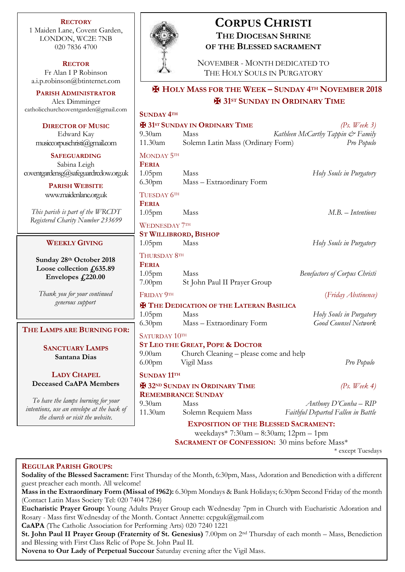**RECTORY** 1 Maiden Lane, Covent Garden, LONDON, WC2E 7NB 020 7836 4700

**RECTOR** Fr Alan I P Robinson [a.i.p.robinson@btinternet.com](mailto:a.i.p.robinson@btinternet.com)

**PARISH ADMINISTRATOR** Alex Dimminger [catholicchurchcoventgarden@gmail.com](mailto:catholicchurchcoventgarden@gmail.com)

**DIRECTOR OF MUSIC** Edward Kay musiccorpuschristi@gmail.com

**SAFEGUARDING** Sabina Leigh [coventgardensg@safeguardrcdow.org.uk](mailto:coventgardensg@safeguardrcdow.org.uk)

> **PARISH WEBSITE** [www.maidenlane.org.uk](http://www.maidenlane.org.uk/)

*This parish is part of the WRCDT Registered Charity Number 233699*

## **WEEKLY GIVING**

**Sunday 28th October 2018 Loose collection £635.89 Envelopes £220.00**

*Thank you for your continued generous support*

### **THE LAMPS ARE BURNING FOR:**

**SANCTUARY LAMPS Santana Dias**

**LADY CHAPEL Deceased CaAPA Members**

*To have the lamps burning for your intentions, use an envelope at the back of the church or visit the website.*



## **CORPUS CHRISTI THE DIOCESAN SHRINE OF THE BLESSED SACRAMENT**

NOVEMBER - MONTH DEDICATED TO THE HOLY SOULS IN PURGATORY

# ✠ **HOLY MASS FOR THE WEEK – SUNDAY 4TH NOVEMBER 2018** ✠ **31 ST SUNDAY IN ORDINARY TIME**

| <b>SUNDAY 4TH</b>                                    |                                            |                                      |
|------------------------------------------------------|--------------------------------------------|--------------------------------------|
|                                                      | <b>H</b> 31st SUNDAY IN ORDINARY TIME      | $(Ps, \textit{Week } 3)$             |
| $9.30$ am                                            | Mass                                       | Kathleen McCarthy Tappin & Family    |
| 11.30am                                              | Solemn Latin Mass (Ordinary Form)          | Pro Populo                           |
| MONDAY 5TH                                           |                                            |                                      |
| <b>FERIA</b>                                         |                                            |                                      |
| 1.05 <sub>pm</sub>                                   | Mass                                       | Holy Souls in Purgatory              |
| 6.30 <sub>pm</sub>                                   | Mass - Extraordinary Form                  |                                      |
| TUESDAY 6TH                                          |                                            |                                      |
| <b>FERIA</b>                                         |                                            |                                      |
| 1.05 <sub>pm</sub>                                   | Mass                                       | M.B. - Intentions                    |
| <b>WEDNESDAY 7TH</b>                                 |                                            |                                      |
|                                                      | <b>ST WILLIBRORD, BISHOP</b>               |                                      |
| 1.05 <sub>pm</sub>                                   | Mass                                       | Holy Souls in Purgatory              |
| THURSDAY 8TH                                         |                                            |                                      |
| <b>FERIA</b>                                         |                                            |                                      |
| 1.05 <sub>pm</sub>                                   | Mass                                       | <b>Benefactors of Corpus Christi</b> |
| 7.00 <sub>pm</sub>                                   | St John Paul II Prayer Group               |                                      |
| FRIDAY 9TH                                           |                                            | (Friday Abstinence)                  |
| <b>X</b> THE DEDICATION OF THE LATERAN BASILICA      |                                            |                                      |
| $1.05$ pm                                            | Mass                                       | Holy Souls in Purgatory              |
| 6.30 <sub>pm</sub>                                   | Mass - Extraordinary Form                  | <b>Good Counsel Network</b>          |
| SATURDAY 10TH                                        |                                            |                                      |
|                                                      | <b>ST LEO THE GREAT, POPE &amp; DOCTOR</b> |                                      |
| 9.00 <sub>am</sub>                                   | Church Cleaning - please come and help     |                                      |
| 6.00 <sub>pm</sub>                                   | Vigil Mass                                 | Pro Populo                           |
| <b>SUNDAY 11TH</b>                                   |                                            |                                      |
|                                                      | <b>H</b> 32ND SUNDAY IN ORDINARY TIME      | (Ps. Week $4$ )                      |
|                                                      | <b>REMEMBRANCE SUNDAY</b>                  |                                      |
| 9.30am                                               | Mass                                       | Anthony D'Cunha - RIP                |
| 11.30am                                              | Solemn Requiem Mass                        | Faithful Departed Fallen in Battle   |
| <b>EXPOSITION OF THE BLESSED SACRAMENT:</b>          |                                            |                                      |
| weekdays* 7:30am - 8:30am; 12pm - 1pm                |                                            |                                      |
| <b>SACRAMENT OF CONFESSION:</b> 30 mins before Mass* |                                            |                                      |

\* except Tuesdays

### **REGULAR PARISH GROUPS:**

**Sodality of the Blessed Sacrament:** First Thursday of the Month, 6:30pm, Mass, Adoration and Benediction with a different guest preacher each month. All welcome!

**Mass in the Extraordinary Form (Missal of 1962):** 6.30pm Mondays & Bank Holidays; 6:30pm Second Friday of the month (Contact Latin Mass Society Tel: 020 7404 7284)

**Eucharistic Prayer Group:** Young Adults Prayer Group each Wednesday 7pm in Church with Eucharistic Adoration and Rosary - Mass first Wednesday of the Month. Contact Annette: ccpguk@gmail.com

**CaAPA** (The Catholic Association for Performing Arts) 020 7240 1221

**St. John Paul II Prayer Group (Fraternity of St. Genesius)** 7.00pm on 2nd Thursday of each month – Mass, Benediction and Blessing with First Class Relic of Pope St. John Paul II.

**Novena to Our Lady of Perpetual Succour** Saturday evening after the Vigil Mass.